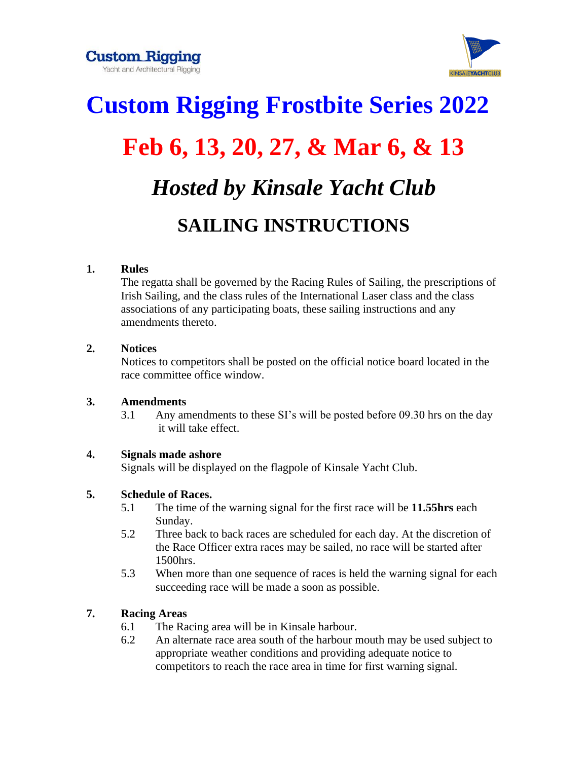**Custom Rigging** Yacht and Architectural Rigging



# **Custom Rigging Frostbite Series 2022 Feb 6, 13, 20, 27, & Mar 6, & 13** *Hosted by Kinsale Yacht Club* **SAILING INSTRUCTIONS**

## **1. Rules**

The regatta shall be governed by the Racing Rules of Sailing, the prescriptions of Irish Sailing, and the class rules of the International Laser class and the class associations of any participating boats, these sailing instructions and any amendments thereto.

## **2. Notices**

Notices to competitors shall be posted on the official notice board located in the race committee office window.

## **3. Amendments**

3.1 Any amendments to these SI's will be posted before 09.30 hrs on the day it will take effect.

# **4. Signals made ashore**

Signals will be displayed on the flagpole of Kinsale Yacht Club.

## **5. Schedule of Races.**

- 5.1 The time of the warning signal for the first race will be **11.55hrs** each Sunday.
- 5.2 Three back to back races are scheduled for each day. At the discretion of the Race Officer extra races may be sailed, no race will be started after 1500hrs.
- 5.3 When more than one sequence of races is held the warning signal for each succeeding race will be made a soon as possible.

# **7. Racing Areas**

- 6.1 The Racing area will be in Kinsale harbour.
- 6.2 An alternate race area south of the harbour mouth may be used subject to appropriate weather conditions and providing adequate notice to competitors to reach the race area in time for first warning signal.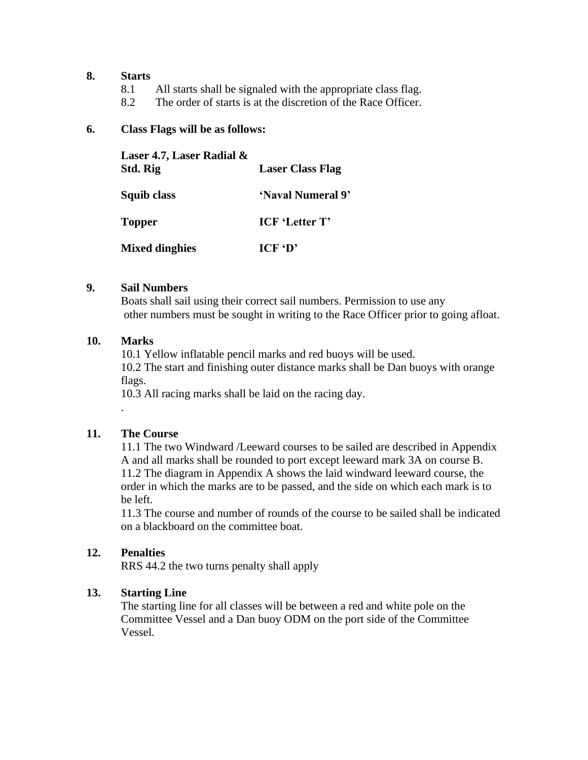#### **8. Starts**

- 8.1 All starts shall be signaled with the appropriate class flag.
- 8.2 The order of starts is at the discretion of the Race Officer.

#### **6. Class Flags will be as follows:**

| Laser 4.7, Laser Radial &<br>Std. Rig | <b>Laser Class Flag</b>    |
|---------------------------------------|----------------------------|
| Squib class                           | 'Naval Numeral 9"          |
| <b>Topper</b>                         | <b>ICF</b> 'Letter T'      |
| <b>Mixed dinghies</b>                 | $ICF^{\dagger}D^{\dagger}$ |

#### **9. Sail Numbers**

Boats shall sail using their correct sail numbers. Permission to use any other numbers must be sought in writing to the Race Officer prior to going afloat.

#### **10. Marks**

10.1 Yellow inflatable pencil marks and red buoys will be used. 10.2 The start and finishing outer distance marks shall be Dan buoys with orange flags.

10.3 All racing marks shall be laid on the racing day.

#### **11. The Course**

.

11.1 The two Windward /Leeward courses to be sailed are described in Appendix A and all marks shall be rounded to port except leeward mark 3A on course B. 11.2 The diagram in Appendix A shows the laid windward leeward course, the order in which the marks are to be passed, and the side on which each mark is to be left.

11.3 The course and number of rounds of the course to be sailed shall be indicated on a blackboard on the committee boat.

#### **12. Penalties**

RRS 44.2 the two turns penalty shall apply

#### **13. Starting Line**

The starting line for all classes will be between a red and white pole on the Committee Vessel and a Dan buoy ODM on the port side of the Committee Vessel.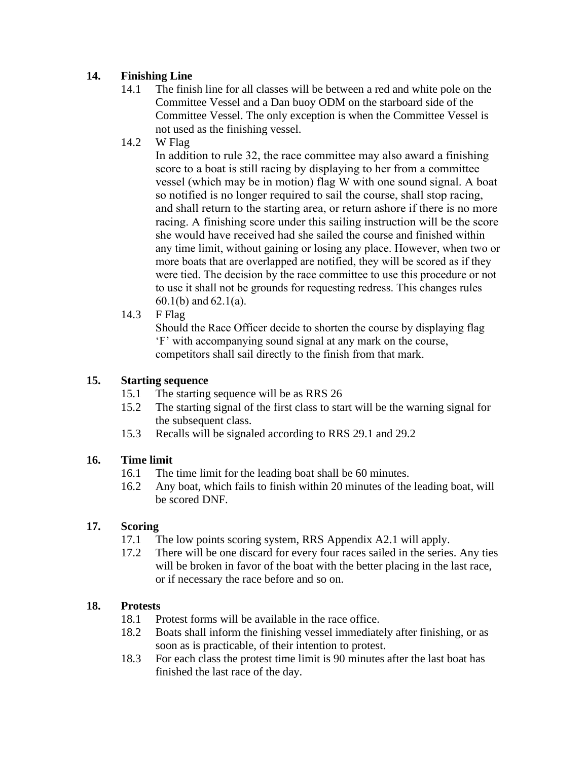# **14. Finishing Line**

- 14.1 The finish line for all classes will be between a red and white pole on the Committee Vessel and a Dan buoy ODM on the starboard side of the Committee Vessel. The only exception is when the Committee Vessel is not used as the finishing vessel.
- 14.2 W Flag

In addition to rule 32, the race committee may also award a finishing score to a boat is still racing by displaying to her from a committee vessel (which may be in motion) flag W with one sound signal. A boat so notified is no longer required to sail the course, shall stop racing, and shall return to the starting area, or return ashore if there is no more racing. A finishing score under this sailing instruction will be the score she would have received had she sailed the course and finished within any time limit, without gaining or losing any place. However, when two or more boats that are overlapped are notified, they will be scored as if they were tied. The decision by the race committee to use this procedure or not to use it shall not be grounds for requesting redress. This changes rules 60.1(b) and 62.1(a).

14.3 F Flag

Should the Race Officer decide to shorten the course by displaying flag 'F' with accompanying sound signal at any mark on the course, competitors shall sail directly to the finish from that mark.

## **15. Starting sequence**

- 15.1 The starting sequence will be as RRS 26
- 15.2 The starting signal of the first class to start will be the warning signal for the subsequent class.
- 15.3 Recalls will be signaled according to RRS 29.1 and 29.2

# **16. Time limit**

- 16.1 The time limit for the leading boat shall be 60 minutes.
- 16.2 Any boat, which fails to finish within 20 minutes of the leading boat, will be scored DNF.

# **17. Scoring**

- 17.1 The low points scoring system, RRS Appendix A2.1 will apply.
- 17.2 There will be one discard for every four races sailed in the series. Any ties will be broken in favor of the boat with the better placing in the last race, or if necessary the race before and so on.

# **18. Protests**

- 18.1 Protest forms will be available in the race office.
- 18.2 Boats shall inform the finishing vessel immediately after finishing, or as soon as is practicable, of their intention to protest.
- 18.3 For each class the protest time limit is 90 minutes after the last boat has finished the last race of the day.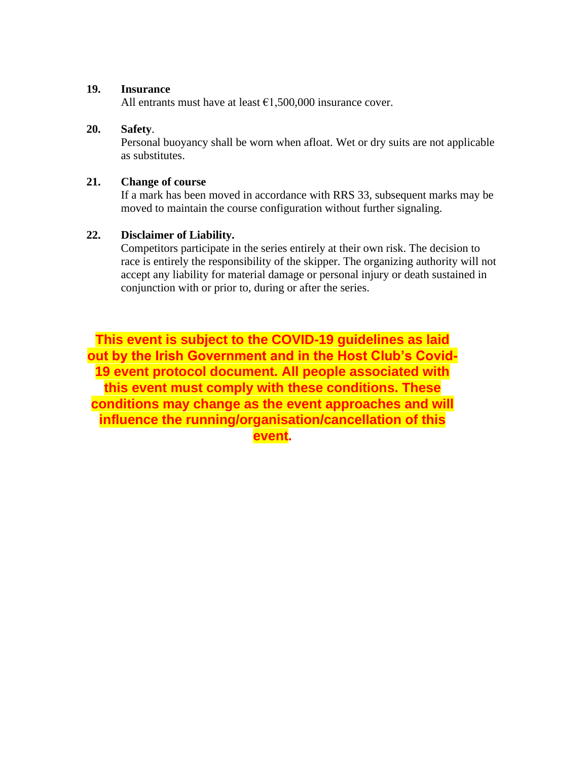#### **19. Insurance**

All entrants must have at least  $\epsilon$ 1,500,000 insurance cover.

#### **20. Safety**.

Personal buoyancy shall be worn when afloat. Wet or dry suits are not applicable as substitutes.

#### **21. Change of course**

If a mark has been moved in accordance with RRS 33, subsequent marks may be moved to maintain the course configuration without further signaling.

#### **22. Disclaimer of Liability.**

Competitors participate in the series entirely at their own risk. The decision to race is entirely the responsibility of the skipper. The organizing authority will not accept any liability for material damage or personal injury or death sustained in conjunction with or prior to, during or after the series.

**This event is subject to the COVID-19 guidelines as laid out by the Irish Government and in the Host Club's Covid-19 event protocol document. All people associated with this event must comply with these conditions. These conditions may change as the event approaches and will influence the running/organisation/cancellation of this event.**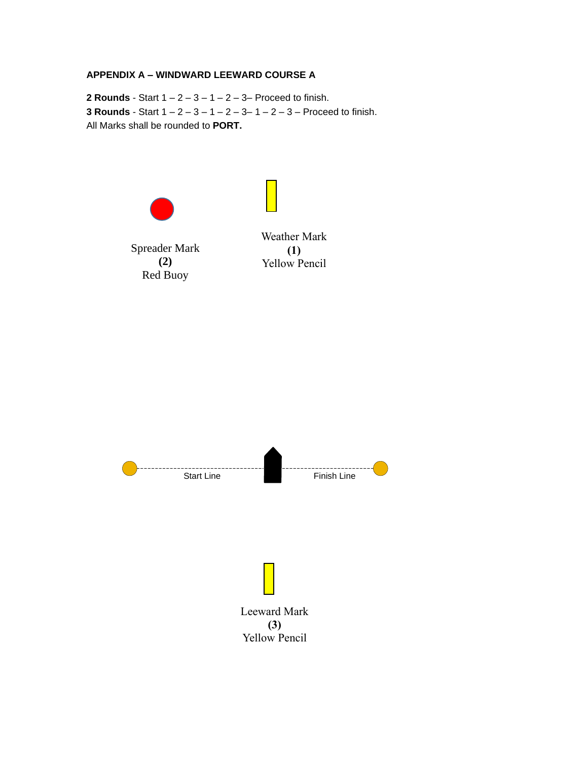#### **APPENDIX A – WINDWARD LEEWARD COURSE A**

**2 Rounds** - Start  $1 - 2 - 3 - 1 - 2 - 3 -$  Proceed to finish. **3 Rounds** - Start 1 – 2 – 3 – 1 – 2 – 3– 1 – 2 – 3 – Proceed to finish. All Marks shall be rounded to **PORT.**